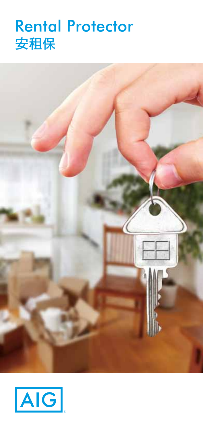# Rental Protector 安租保



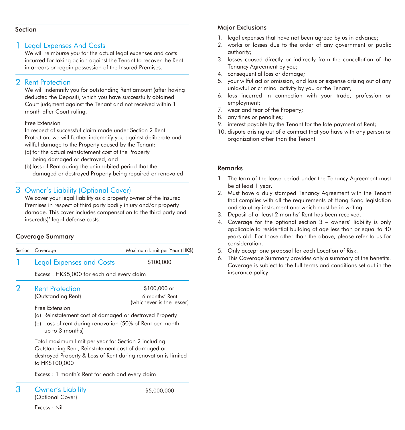#### Section

#### 1 Legal Expenses And Costs

We will reimburse you for the actual legal expenses and costs incurred for taking action against the Tenant to recover the Rent in arrears or regain possession of the Insured Premises.

#### 2 Rent Protection

We will indemnify you for outstanding Rent amount (after having deducted the Deposit), which you have successfully obtained Court judgment against the Tenant and not received within 1 month after Court ruling.

#### Free Extension

In respect of successful claim made under Section 2 Rent Protection, we will further indemnify you against deliberate and willful damage to the Property caused by the Tenant:

- (a) for the actual reinstatement cost of the Property being damaged or destroyed, and
- (b) loss of Rent during the uninhabited period that the damaged or destroyed Property being repaired or renovated

#### 3 Owner's Liability (Optional Cover)

Legal Expenses and Costs

We cover your legal liability as a property owner of the Insured Premises in respect of third party bodily injury and/or property damage. This cover includes compensation to the third party and insured(s)' legal defense costs.

#### Coverage Summary

Section Coverage

Maximum Limit per Year (HK\$)

1

\$100,000

Excess : HK\$5,000 for each and every claim

Rent Protection  $\overline{2}$ 

(Outstanding Rent)

\$100,000 or 6 months' Rent (whichever is the lesser)

Free Extension

- (a) Reinstatement cost of damaged or destroyed Property
- (b) Loss of rent during renovation (50% of Rent per month, up to 3 months)

Total maximum limit per year for Section 2 including Outstanding Rent, Reinstatement cost of damaged or destroyed Property & Loss of Rent during renovation is limited to HK\$100,000

Excess : 1 month's Rent for each and every claim

Owner's Liability (Optional Cover) 3

\$5,000,000

#### Major Exclusions

- 1. legal expenses that have not been agreed by us in advance:
- 2. works or losses due to the order of any government or public authority;
- 3. losses caused directly or indirectly from the cancellation of the Tenancy Agreement by you;
- 4. consequential loss or damage;
- 5. your wilful act or omission, and loss or expense arising out of any unlawful or criminal activity by you or the Tenant;
- 6. loss incurred in connection with your trade, profession or employment;
- 7. wear and tear of the Property;
- 8. any fines or penalties;
- 9. interest payable by the Tenant for the late payment of Rent;
- 10. dispute arising out of a contract that you have with any person or organization other than the Tenant.

#### Remarks

- 1. The term of the lease period under the Tenancy Agreement must be at least 1 year.
- 2. Must have a duly stamped Tenancy Agreement with the Tenant that complies with all the requirements of Hong Kong legislation and statutory instrument and which must be in writing.
- 3. Deposit of at least 2 months' Rent has been received.
- 4. Coverage for the optional section 3 owners' liability is only applicable to residential building of age less than or equal to 40 years old. For those other than the above, please refer to us for consideration.
- 5. Only accept one proposal for each Location of Risk.
- 6. This Coverage Summary provides only a summary of the benefits. Coverage is subject to the full terms and conditions set out in the insurance policy.

Excess : Nil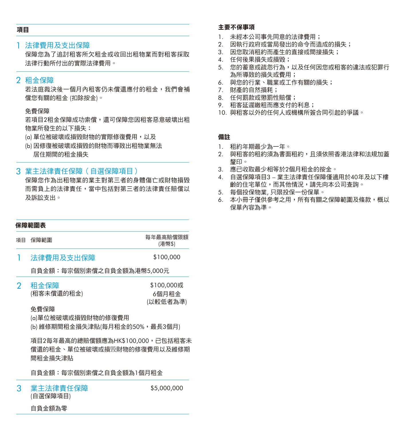#### 項目

#### 法律費用及支出保障 1

保障您為了追討租客所欠租金或收回出租物業而對租客採取 法律行動所付出的實際法律費用。

#### 2 租金保障

若法庭裁決後一個月內租客仍未償還應付的租金,我們會補 償您有關的租金 (扣除按金)。

#### 免費保障

若項目2租金保障成功索償,還可保障您因租客惡意破壞出租 物業所發生的以下損失:

- (a) 單位被破壞或損毀財物的實際修復費用,以及
- (b) 因修復被破壞或損毀的財物而導致出租物業無法 居住期間的租金損失

#### $3$  業主法律責任保障(自選保障項目)

保障您作為出租物業的業主對第三者的身體傷亡或財物損毀 而需負上的法律責任,當中包括對第三者的法律責任賠償以 及訴訟支出。

#### 保障範圍表

- 項目 保障範圍 每年最高賠償限額 (港幣\$)
- 法律費用及支出保障 1 \$100,000

自負金額:每宗個別索償之自負金額為港幣5,000元

租金保障 (租客未償還的租金)  $\mathcal{P}$ \$100,000或 6個月租金 (以較低者為準)

#### 免費保障

- (a)單位被破壞或損毀財物的修復費用
- (b) 維修期間租金損失津貼(每月租金的50%,最長3個月)

項目2每年最高的總賠償額應為HK\$100,000,已包括租客未 償還的租金、單位被破壞或損毁財物的修復費用以及維修期 間租金損失津貼

自負金額:每宗個別索償之自負金額為1個月租金

業主法律責任保障 (自選保障項目) 3

\$5,000,000

自負金額為零

#### 主要不保事項

- 1. 未經本公司事先同意的法律費用;
- 2. 因執行政府或當局發出的命令而造成的損失;
- 3. 因您取消租約而產生的直接或間接損失;
- 4. 任何後果損失或損毀;
- 5. 您的蓄意或疏忽行為,以及任何因您或租客的違法或犯罪行 為所導致的損失或費用;
- 6. 與您的行業、職業或工作有關的損失;
- 7. 財產的自然損耗;
- 8. 任何罰款或懲罰性賠償;
- 9. 租客延遲繳租而應支付的利息;
- 10. 與租客以外的任何人或機構所簽合同引起的爭議。

#### 備註

- 1. 租約年期最少為一年。
- 2. 與租客的租約須為書面租約,且須依照香港法律和法規加蓋 釐印。
- 3. 應已收取最少相等於2個月租金的按金。
- 4. 自選保障項目3 業主法律責任保障僅適用於40年及以下樓 齡的住宅單位,而其他情況,請先向本公司查詢。
- 5. 每個投保物業, 只限投保一份保單。
- 6. 本小冊子僅供參考之用,所有有關之保障範圍及條款,概以 保單內容為準。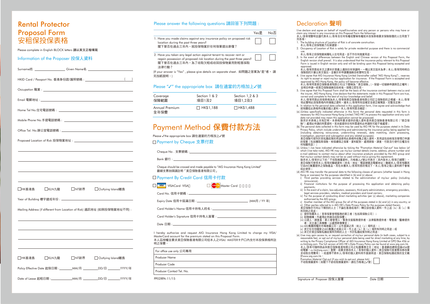## Rental Protector Proposal Form 安租保投保表格

Please complete in English BLOCK letters 請以英文正楷填寫

#### Information of the Proposer 投保人資料

|                                                                          |        | and the control of the control of the control of the control of the control of the control of the control of the |                     |        |
|--------------------------------------------------------------------------|--------|------------------------------------------------------------------------------------------------------------------|---------------------|--------|
| □HK香港島                                                                   | □KLN九龍 | □ NT新界                                                                                                           | □ Outlying Island離島 |        |
|                                                                          |        |                                                                                                                  |                     |        |
| Mailing Address (if different from Location of Risk) 通訊地址 (如與投保物業地址不同) : |        |                                                                                                                  |                     |        |
|                                                                          |        |                                                                                                                  |                     |        |
|                                                                          |        |                                                                                                                  |                     |        |
|                                                                          |        |                                                                                                                  |                     |        |
|                                                                          |        |                                                                                                                  |                     |        |
| □HK香港島                                                                   | □KLN九龍 | $\Box$ NT新界                                                                                                      | □ Outlying Island離島 |        |
|                                                                          |        | Policy Effective Date 起保日期: ________MM/月 _________DD/日 ________YYYY/年                                            |                     |        |
| Date of Lease 起和日期:                                                      |        | MM/月                                                                                                             | DD/H                | YYYY/年 |

#### Please answer the following questions 請回答下列問題 :

|                                                                                                                                                   | Yes是 | No否 |
|---------------------------------------------------------------------------------------------------------------------------------------------------|------|-----|
| 1. Have you made claims against any insurance policy on proposed risk [78]<br>location during the past three years?<br>閣下曾否在過去三年內,就投保物業於任何保單提出索償? |      |     |

2. Have you taken any legal action against tenant to recover rent or regain possession of proposed risk location during the past three years? 閣下曾否在過去三年內,為了收取欠租或收回投保物業而對租客採取 法律行動?

(If your answer is "Yes" , please give details on separate sheet. 如問題之答案為"是"者, 請 另加紙說明。)

#### Please "√" the appropriate box 請在適當的方格加上√號

| Coverage               | Section 1 & 2    | Section 1,2 & 3  |
|------------------------|------------------|------------------|
| 保障範圍                   | 項目1及2            | 項目1,2及3          |
| Annual Premium<br>全年保費 | $\Box$ HK\$1.188 | $\Box$ HK\$1,488 |

## Payment Method 保費付款方法

Please √the appropriate box 請在適當的方格加上√號

#### □Payment by Cheque 支票付款

Cheque No . 支票號碼 :

Bank 銀行 :

Cheque should be crossed and made payable to "AIG Insurance Hong Kong Limited" 劃線支票抬頭請註明「美亞保險香港有限公司」

#### Payment By Credit Card 信用卡付款

**VISACard VISA** Master Card

Card No. 信用卡號碼 :

Expiry Date 信用卡屆滿日期 : (MM月 / YY 年)

Card Holder's Name 信用卡持有人姓名 :

Card Holder's Signature 信用卡持有人簽署 :

Date 日期 :

I hereby authorize and request AIG Insurance Hong Kong Limited to charge my VISA/ MasterCard account for the premium stated on this Proposal Form.

本人茲授權並要求美亞保險香港有限公司從本人之VISA/ MASTER卡戶口內支付本投保表格所註 明之保費。

| <b>Producer Name</b><br>Producer Code<br>Producer Contact Tel. No. | For office use only 公司專用 |
|--------------------------------------------------------------------|--------------------------|
|                                                                    |                          |
|                                                                    |                          |
|                                                                    |                          |

PP02RPA-11/15

### Declaration 聲明

I/we declare and agree on behalf of myself/ourselves and any person or persons who may have or claim any insurance on this Proposal Form the followings:

- claim any interest in any insurance on this Proposal Form the followings: 本人/吾等現聲明並謹代表本人/吾等及任何有權或聲稱有權就本投保表格要求保險賠償的人仕同意下 列各項:
- 1. The building structure of Location of Risk is of concrete construction. 本人/吾等之投保物業乃石屎建築。
- 2. Occupancy of Location of Risk is solely for private residential purpose and there is no commercial
	- use.<br>本人/吾等之投保物業純屬私人住宅用途,並不作任何商業用途。
- 3. In the event of differences between the English and Chinese version of this Proposal Form, the English version shall prevail. It is also understood that the insurance policy relevant to this Proposal Form is issued in English version only and will be binding upon this Proposal being accepted and approved<sup>.</sup>
- 本人/吾等同意如本文之譯本於意義上遇到任何爭議時,一概以英文版本為準;本人/吾等同時明白 平八/日寺问意如平人人時平小高義王妇却止門王略。」 <br>保險契約只會以英文發出,並會於本申請獲接納及核實時生效。
- 4. I/we agree that AIG Insurance Hong Kong Limited (hereinafter called "AIG Hong Kong"), reserves its right to accept or reject my/our application for insurance. If the Proposal Form is accepted and
- approved by AIG Hong Kong, the policy will become effective. 本人/吾等同意美亞保險香港有限公司(以下簡稱為「美亞保險」),保留一切接納申請與否之權利; 並明白申請一經美亞保險接納及批核後,保障立即生效。 5. I/we agree that this Proposal Form shall be the basis of the insurance contract between me/us and the insurer, AIG Hong Kong. I/we declare that the statements made in this Proposal Form are true,
- correct and complete to the best of my/our knowledge and belief. 本人/吾等同意此投保表格為本人/吾等與美亞保險香港有限公司訂立保險契約之根據。本人/吾等 特此聲明此投保表格內所填報之資料,據本人/吾等所知並確定全部正確無訛、完整及足夠。
- 6. In relation to the personal data collected in this application form, I/we agree and acknowledge that:
- 就有關從此表格州収集的個人資料,本人/吾等同意及確認:<br>(a).(Unless specifically indicated otherwise in this form is form is form is form is<br>- hecessary for AIG Insurance Hong Kong Limited ("AIG HK") to process this application and any such data not provided may mean this application cannot be processed. 除非於本表格上另有訂明,本表格所要求提供的個人資料是供美亞保險香港有限公司("美亞保
- 險")處理此申請的所需資料,若未能提供任何所需資料此申請則可能不被處理; (b). The personal data collected in this form may be used by AIG HK for the purposes stated in its Data Privacy Policy, which include underwriting and administering the insurance policy being applied for (including obtaining reinsurance, underwriting renewals, data matching, claim processing,

investigation, payment and subrogation and any related purposes).<br>美亞保險可按列於其私隱政策的用途使用此表格所收集之個人資料,其用途包括核保及管理已申請 的保單(包括獲取再保險、核保續保之保單、資料配對、處理索賠、調查、付款及行使代位權及任 何有關用途);

(c). Unless I /we have indicated otherwise by ticking the "Promotion Material Opt-out" box below (of which I/we take note), AIG HK may use my/our contact details (name, address, phone number and e-mail address) to contact me/us about other insurance products provided by the AIG group and that my/our contact details may not be so used without me/us giving this agreement.<br>除非本人/吾等於以下的「不收取推廣資料」方格填上✓號以作表示(其內容本人/吾等已細閱),

美亞保險可使用本人/吾等的聯絡資料(姓名、地址、電話號碼及電郵地址)聯絡本人/吾等有關其 它由AIG集團提供之保險產品,而在未獲本人/吾等同意的情況下,本人/吾等之個人資料將不會被 如此使用;

- (d). AIG HK may transfer the personal data to the following classes of persons (whether based in Hong Kong or overseas) for the purposes identified in (b) and (c) above:
- i) Third parties providing services related to the administration of my/our policy (including reinsurance);
- ii) Financial institutions for the purpose of processing this application and obtaining policy payments;
- iii) In the event of a claim, loss adjustors, assessors, third party administrators, emergency providers, legal services providers, retailers, medical providers and travel carriers;
- iv) For the purpose of conducting direct marketing activities (per (c) above), marketing companies authorized by the AIG group;
- 
- v) Another member of the AIG group (for all of the purposes stated in (b) and (c)) in any country; or<br>vi) Other parties referred to in AIG HK′s Data Privacy Policy for the purposes stated therein.<br>美亞保險亦可向以下類別的人士(不論在香港或海
- 所列明之用途:
- 。<br>(i) 提供有關本人/吾等保單管理服務的第三者(包括再保險公司); (ii) 財務機構,作處理此申請及收取保費;
- (iii) 公證人、調查員、第三者管理人、緊急支援服務提供者、法律服務提供者、零售商、醫療提供 者、及交通工具機構,以處理索償事宜;
- - (iv) AIG集團授權的市場推廣公司,以作直銷之用(如上(c)項所述);<br>(v) 其它在任何國家之AIG集團之成員公司,作上述(b)及(c)項所有列明之用途;或<br>(vi) 其它於美亞保險私隱政策所列明的人士,作於私隱政策列明之用途。
- (e). I/we may gain access to, or request correction of my/our personal data (in both cases, subject to a

reasonable fee), or opt out of my/our personal data being used for direct marketing at any time, by writing to the Privacy Compliance Officer of AIG Insurance Hong Kong Limited at GPO Box 456 or cs.hk@aig.com. The full version of AIG HK's Data Privacy Policy can be found at www.aig.com.hk. 本人/吾等可隨時致函到美亞保險香港有限公司之私隱事務主任(地址:香港郵政總局信箱456號 或電郵:cs.hk@aig.com )查閱、或要求修改本人 / 吾等的個人資料(美亞保險可就查閱及修改要<br>求收取合理費用 ),或選擇不將本人/吾等的個人資料用作直銷用途。美亞保險私隱政策的全文載 於www.aig.com.hk。

 Promotion Material Opt-out (if you wish to opt-out, please tick) 不收取推廣資料(如閣下不欲收取推廣資料,請在方格填上✓號)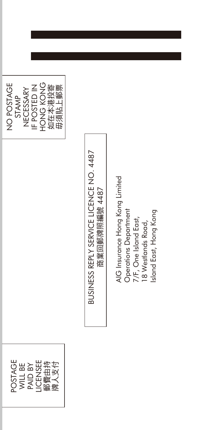| ш |  |
|---|--|
|---|--|

# BUSINESS REPLY SERVICE LICENCE NO. 4487 BUSINESS REPLY SERVICE LICENCE NO. 4487 商業回郵牌照編號 4487 商業回郵牌照編號 4487

AIG Insurance Hong Kong Limited AIG Insurance Hong Kong Limited Operations Department Island East, Hong Kong Operations Department Island East, Hong Kong7/F, One Island East,<br>18 Westlands Road, 7/F, One Island East, 18 Westlands Road,

POSTAGE POSTAGE LICENSEE 郵費由持 牌人支付 WILL BE PAID BY